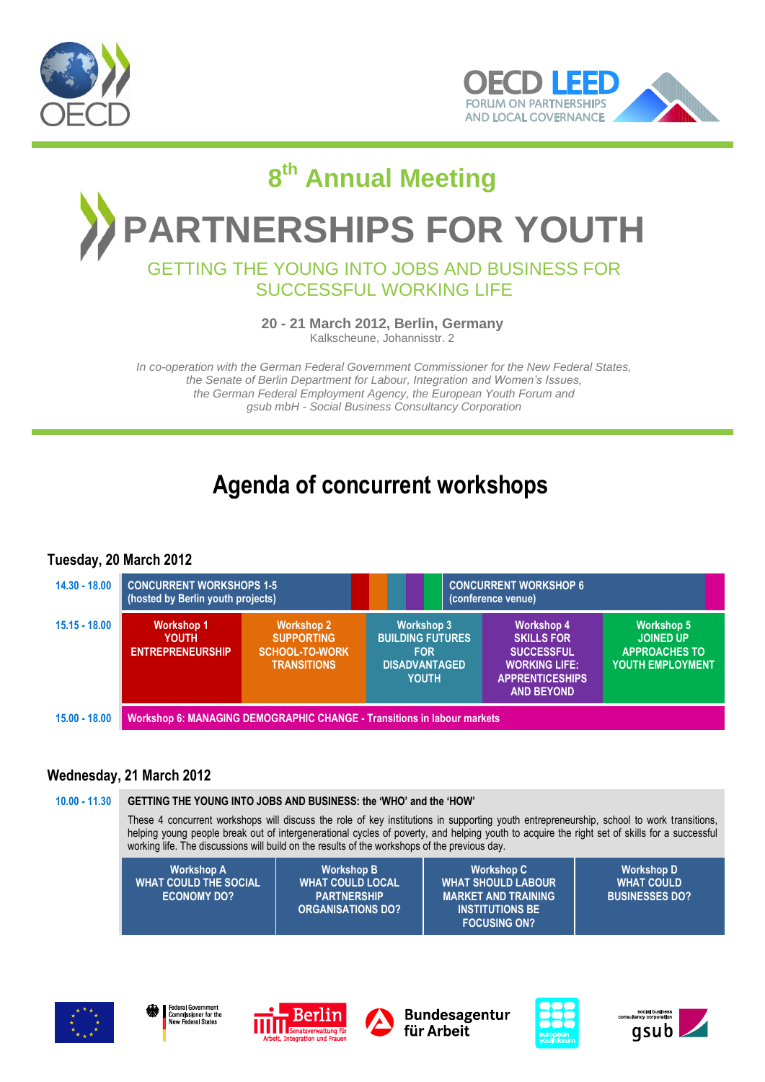



# **8 th Annual Meeting RTNERSHIPS FOR YOUTH** GETTING THE YOUNG INTO JOBS AND BUSINESS FOR

# SUCCESSFUL WORKING LIFE

**20 - 21 March 2012, Berlin, Germany**

Kalkscheune, Johannisstr. 2

*In co-operation with the German Federal Government Commissioner for the New Federal States, the Senate of Berlin Department for Labour, Integration and Women's Issues, the German Federal Employment Agency, the European Youth Forum and gsub mbH - Social Business Consultancy Corporation*

# **Agenda of concurrent workshops**

# **Tuesday, 20 March 2012**

| $14.30 - 18.00$ | <b>CONCURRENT WORKSHOPS 1-5</b><br>(hosted by Berlin youth projects)           |                                                                                       | <b>CONCURRENT WORKSHOP 6</b><br>(conference venue)                                                 |  |                                                                                                                                    |                                                                                          |
|-----------------|--------------------------------------------------------------------------------|---------------------------------------------------------------------------------------|----------------------------------------------------------------------------------------------------|--|------------------------------------------------------------------------------------------------------------------------------------|------------------------------------------------------------------------------------------|
| $15.15 - 18.00$ | <b>Workshop 1</b><br><b>YOUTH</b><br><b>ENTREPRENEURSHIP</b>                   | <b>Workshop 2</b><br><b>SUPPORTING</b><br><b>SCHOOL-TO-WORK</b><br><b>TRANSITIONS</b> | <b>Workshop 3</b><br><b>BUILDING FUTURES</b><br><b>FOR</b><br><b>DISADVANTAGED</b><br><b>YOUTH</b> |  | <b>Workshop 4</b><br><b>SKILLS FOR</b><br><b>SUCCESSFUL</b><br><b>WORKING LIFE:</b><br><b>APPRENTICESHIPS</b><br><b>AND BEYOND</b> | <b>Workshop 5</b><br><b>JOINED UP</b><br><b>APPROACHES TO</b><br><b>YOUTH EMPLOYMENT</b> |
| $15.00 - 18.00$ | <b>Workshop 6: MANAGING DEMOGRAPHIC CHANGE - Transitions in labour markets</b> |                                                                                       |                                                                                                    |  |                                                                                                                                    |                                                                                          |

# **Wednesday, 21 March 2012**

#### **10.00 - 11.30 GETTING THE YOUNG INTO JOBS AND BUSINESS: the 'WHO' and the 'HOW'**

These 4 concurrent workshops will discuss the role of key institutions in supporting youth entrepreneurship, school to work transitions, helping young people break out of intergenerational cycles of poverty, and helping youth to acquire the right set of skills for a successful working life. The discussions will build on the results of the workshops of the previous day.

| <b>WHAT COULD THE SOCIAL</b><br><b>WHAT COULD LOCAL</b><br><b>WHAT SHOULD LABOUR \</b><br><b>ECONOMY DO?</b><br><b>PARTNERSHIP</b><br><b>MARKET AND TRAINING</b><br><b>ORGANISATIONS DO?</b><br><b>INSTITUTIONS BE</b><br><b>FOCUSING ON?</b> | <b>WHAT COULD</b><br><b>BUSINESSES DO?</b> |
|-----------------------------------------------------------------------------------------------------------------------------------------------------------------------------------------------------------------------------------------------|--------------------------------------------|
|-----------------------------------------------------------------------------------------------------------------------------------------------------------------------------------------------------------------------------------------------|--------------------------------------------|









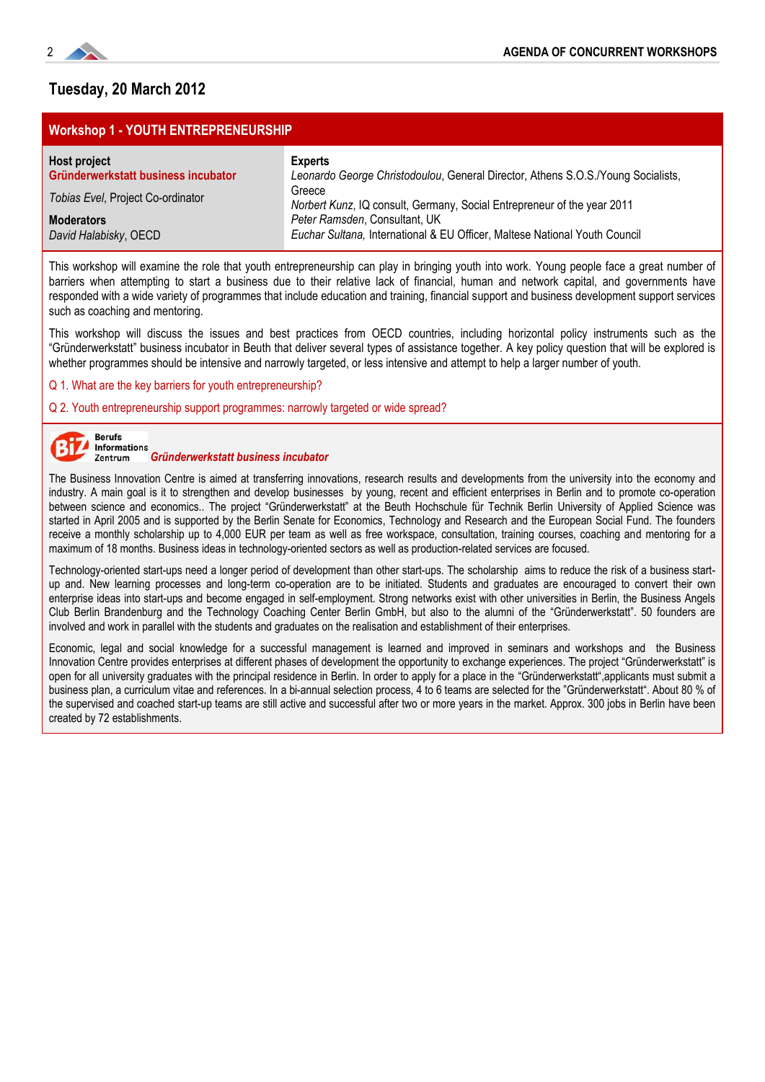

# **Tuesday, 20 March 2012**

### **Workshop 1 - YOUTH ENTREPRENEURSHIP**

| Host project                        | <b>Experts</b>                                                                    |
|-------------------------------------|-----------------------------------------------------------------------------------|
| Gründerwerkstatt business incubator | Leonardo George Christodoulou, General Director, Athens S.O.S./Young Socialists,  |
| Tobias Evel, Project Co-ordinator   | Greece<br>Norbert Kunz, IQ consult, Germany, Social Entrepreneur of the year 2011 |
| <b>Moderators</b>                   | Peter Ramsden, Consultant, UK                                                     |
| David Halabisky, OECD               | Euchar Sultana, International & EU Officer, Maltese National Youth Council        |

This workshop will examine the role that youth entrepreneurship can play in bringing youth into work. Young people face a great number of barriers when attempting to start a business due to their relative lack of financial, human and network capital, and governments have responded with a wide variety of programmes that include education and training, financial support and business development support services such as coaching and mentoring.

This workshop will discuss the issues and best practices from OECD countries, including horizontal policy instruments such as the ―Gründerwerkstatt‖ business incubator in Beuth that deliver several types of assistance together. A key policy question that will be explored is whether programmes should be intensive and narrowly targeted, or less intensive and attempt to help a larger number of youth.

Q 1. What are the key barriers for youth entrepreneurship?

Q 2. Youth entrepreneurship support programmes: narrowly targeted or wide spread?



# *Gründerwerkstatt business incubator*

The Business Innovation Centre is aimed at transferring innovations, research results and developments from the university into the economy and industry. A main goal is it to strengthen and develop businesses by young, recent and efficient enterprises in Berlin and to promote co-operation between science and economics.. The project "Gründerwerkstatt" at the Beuth Hochschule für Technik Berlin University of Applied Science was started in April 2005 and is supported by the Berlin Senate for Economics, Technology and Research and the European Social Fund. The founders receive a monthly scholarship up to 4,000 EUR per team as well as free workspace, consultation, training courses, coaching and mentoring for a maximum of 18 months. Business ideas in technology-oriented sectors as well as production-related services are focused.

Technology-oriented start-ups need a longer period of development than other start-ups. The scholarship aims to reduce the risk of a business startup and. New learning processes and long-term co-operation are to be initiated. Students and graduates are encouraged to convert their own enterprise ideas into start-ups and become engaged in self-employment. Strong networks exist with other universities in Berlin, the Business Angels Club Berlin Brandenburg and the Technology Coaching Center Berlin GmbH, but also to the alumni of the "Gründerwerkstatt". 50 founders are involved and work in parallel with the students and graduates on the realisation and establishment of their enterprises.

Economic, legal and social knowledge for a successful management is learned and improved in seminars and workshops and the Business Innovation Centre provides enterprises at different phases of development the opportunity to exchange experiences. The project "Gründerwerkstatt" is open for all university graduates with the principal residence in Berlin. In order to apply for a place in the "Gründerwerkstatt", applicants must submit a business plan, a curriculum vitae and references. In a bi-annual selection process, 4 to 6 teams are selected for the "Gründerwerkstatt". About 80 % of the supervised and coached start-up teams are still active and successful after two or more years in the market. Approx. 300 jobs in Berlin have been created by 72 establishments.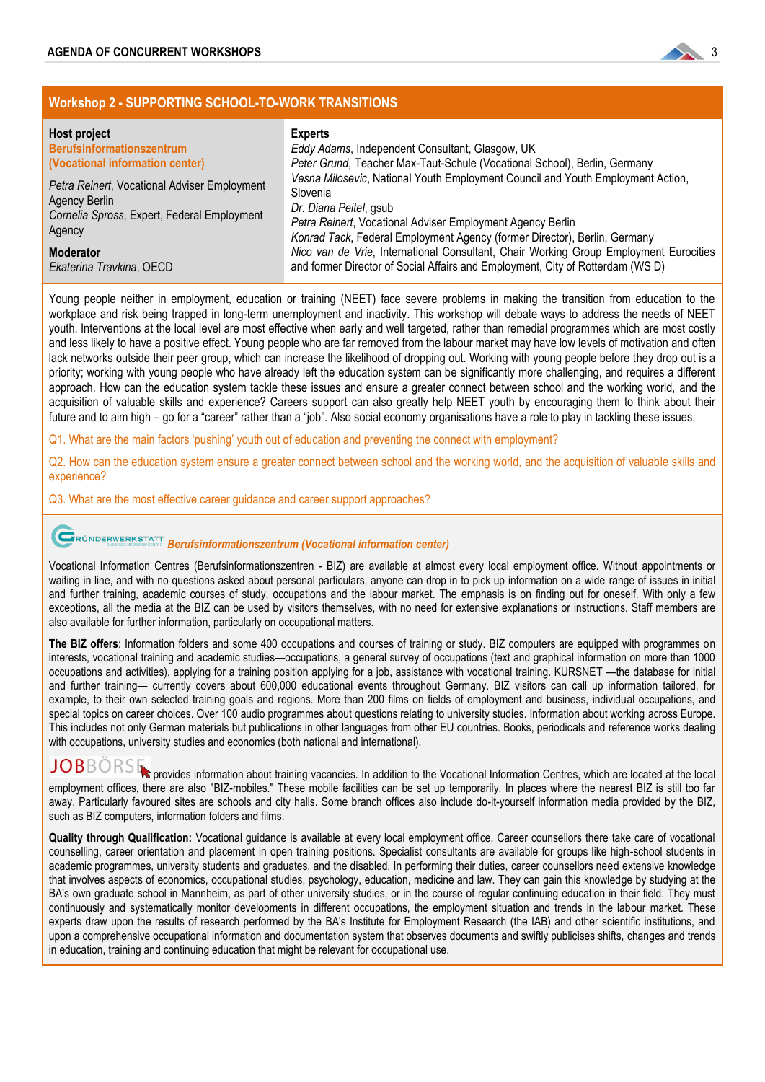

### **Workshop 2 - SUPPORTING SCHOOL-TO-WORK TRANSITIONS**

| Host project<br><b>Berufsinformationszentrum</b><br>(Vocational information center)<br>Petra Reinert, Vocational Adviser Employment<br>Agency Berlin<br>Cornelia Spross, Expert, Federal Employment<br>Agency | <b>Experts</b><br>Eddy Adams, Independent Consultant, Glasgow, UK<br>Peter Grund, Teacher Max-Taut-Schule (Vocational School), Berlin, Germany<br>Vesna Milosevic, National Youth Employment Council and Youth Employment Action,<br>Slovenia<br>Dr. Diana Peitel, gsub<br>Petra Reinert, Vocational Adviser Employment Agency Berlin<br>Konrad Tack, Federal Employment Agency (former Director), Berlin, Germany |
|---------------------------------------------------------------------------------------------------------------------------------------------------------------------------------------------------------------|--------------------------------------------------------------------------------------------------------------------------------------------------------------------------------------------------------------------------------------------------------------------------------------------------------------------------------------------------------------------------------------------------------------------|
| <b>Moderator</b>                                                                                                                                                                                              | Nico van de Vrie, International Consultant, Chair Working Group Employment Eurocities                                                                                                                                                                                                                                                                                                                              |
| Ekaterina Travkina, OECD                                                                                                                                                                                      | and former Director of Social Affairs and Employment, City of Rotterdam (WS D)                                                                                                                                                                                                                                                                                                                                     |

Young people neither in employment, education or training (NEET) face severe problems in making the transition from education to the workplace and risk being trapped in long-term unemployment and inactivity. This workshop will debate ways to address the needs of NEET youth. Interventions at the local level are most effective when early and well targeted, rather than remedial programmes which are most costly and less likely to have a positive effect. Young people who are far removed from the labour market may have low levels of motivation and often lack networks outside their peer group, which can increase the likelihood of dropping out. Working with young people before they drop out is a priority; working with young people who have already left the education system can be significantly more challenging, and requires a different approach. How can the education system tackle these issues and ensure a greater connect between school and the working world, and the acquisition of valuable skills and experience? Careers support can also greatly help NEET youth by encouraging them to think about their future and to aim high – go for a "career" rather than a "job". Also social economy organisations have a role to play in tackling these issues.

Q1. What are the main factors 'pushing' youth out of education and preventing the connect with employment?

Q2. How can the education system ensure a greater connect between school and the working world, and the acquisition of valuable skills and experience?

Q3. What are the most effective career guidance and career support approaches?

# *Berufsinformationszentrum (Vocational information center)*

Vocational Information Centres (Berufsinformationszentren - BIZ) are available at almost every local employment office. Without appointments or waiting in line, and with no questions asked about personal particulars, anyone can drop in to pick up information on a wide range of issues in initial and further training, academic courses of study, occupations and the labour market. The emphasis is on finding out for oneself. With only a few exceptions, all the media at the BIZ can be used by visitors themselves, with no need for extensive explanations or instructions. Staff members are also available for further information, particularly on occupational matters.

**The BIZ offers**: Information folders and some 400 occupations and courses of training or study. BIZ computers are equipped with programmes on interests, vocational training and academic studies—occupations, a general survey of occupations (text and graphical information on more than 1000 occupations and activities), applying for a training position applying for a job, assistance with vocational training. KURSNET —the database for initial and further training— currently covers about 600,000 educational events throughout Germany. BIZ visitors can call up information tailored, for example, to their own selected training goals and regions. More than 200 films on fields of employment and business, individual occupations, and special topics on career choices. Over 100 audio programmes about questions relating to university studies. Information about working across Europe. This includes not only German materials but publications in other languages from other EU countries. Books, periodicals and reference works dealing with occupations, university studies and economics (both national and international).

JOBBORSE provides information about training vacancies. In addition to the Vocational Information Centres, which are located at the local employment offices, there are also "BIZ-mobiles." These mobile facilities can be set up temporarily. In places where the nearest BIZ is still too far away. Particularly favoured sites are schools and city halls. Some branch offices also include do-it-yourself information media provided by the BIZ, such as BIZ computers, information folders and films.

**Quality through Qualification:** Vocational guidance is available at every local employment office. Career counsellors there take care of vocational counselling, career orientation and placement in open training positions. Specialist consultants are available for groups like high-school students in academic programmes, university students and graduates, and the disabled. In performing their duties, career counsellors need extensive knowledge that involves aspects of economics, occupational studies, psychology, education, medicine and law. They can gain this knowledge by studying at the BA's own graduate school in Mannheim, as part of other university studies, or in the course of regular continuing education in their field. They must continuously and systematically monitor developments in different occupations, the employment situation and trends in the labour market. These experts draw upon the results of research performed by the BA's Institute for Employment Research (the IAB) and other scientific institutions, and upon a comprehensive occupational information and documentation system that observes documents and swiftly publicises shifts, changes and trends in education, training and continuing education that might be relevant for occupational use.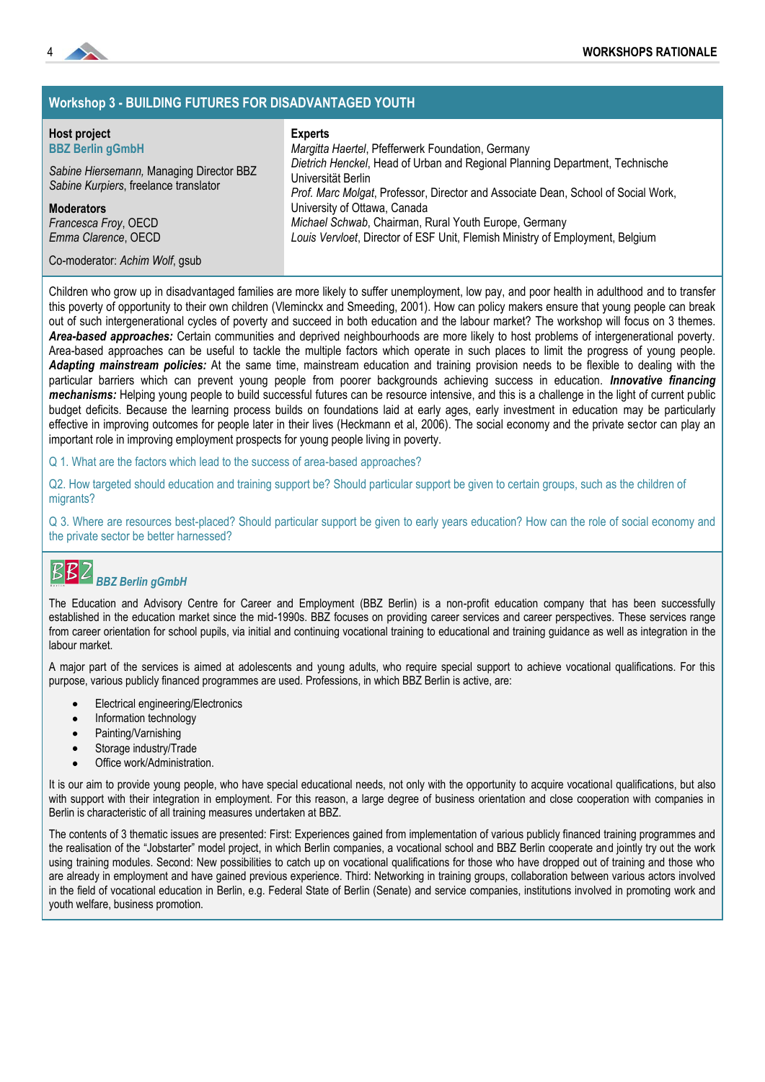

# **Workshop 3 - BUILDING FUTURES FOR DISADVANTAGED YOUTH**

# **Host project**

**Experts**

| <b>BBZ Berlin gGmbH</b>                                                           | Margitta Haertel, Pfefferwerk Foundation, Germany                                                                                                                                       |
|-----------------------------------------------------------------------------------|-----------------------------------------------------------------------------------------------------------------------------------------------------------------------------------------|
| Sabine Hiersemann, Managing Director BBZ<br>Sabine Kurpiers, freelance translator | Dietrich Henckel, Head of Urban and Regional Planning Department, Technische<br>Universität Berlin<br>Prof. Marc Molgat, Professor, Director and Associate Dean, School of Social Work, |
| <b>Moderators</b>                                                                 | University of Ottawa, Canada                                                                                                                                                            |
| Francesca Froy, OECD<br>Emma Clarence, OECD                                       | Michael Schwab, Chairman, Rural Youth Europe, Germany<br>Louis Vervloet, Director of ESF Unit, Flemish Ministry of Employment, Belgium                                                  |
| Co-moderator: Achim Wolf, gsub                                                    |                                                                                                                                                                                         |

Children who grow up in disadvantaged families are more likely to suffer unemployment, low pay, and poor health in adulthood and to transfer this poverty of opportunity to their own children (Vleminckx and Smeeding, 2001). How can policy makers ensure that young people can break out of such intergenerational cycles of poverty and succeed in both education and the labour market? The workshop will focus on 3 themes. *Area-based approaches:* Certain communities and deprived neighbourhoods are more likely to host problems of intergenerational poverty. Area-based approaches can be useful to tackle the multiple factors which operate in such places to limit the progress of young people. *Adapting mainstream policies:* At the same time, mainstream education and training provision needs to be flexible to dealing with the particular barriers which can prevent young people from poorer backgrounds achieving success in education. *Innovative financing mechanisms:* Helping young people to build successful futures can be resource intensive, and this is a challenge in the light of current public budget deficits. Because the learning process builds on foundations laid at early ages, early investment in education may be particularly effective in improving outcomes for people later in their lives (Heckmann et al, 2006). The social economy and the private sector can play an important role in improving employment prospects for young people living in poverty.

Q 1. What are the factors which lead to the success of area-based approaches?

Q2. How targeted should education and training support be? Should particular support be given to certain groups, such as the children of migrants?

Q 3. Where are resources best-placed? Should particular support be given to early years education? How can the role of social economy and the private sector be better harnessed?

#### B *BBZ Berlin gGmbH*

The Education and Advisory Centre for Career and Employment (BBZ Berlin) is a non-profit education company that has been successfully established in the education market since the mid-1990s. BBZ focuses on providing career services and career perspectives. These services range from career orientation for school pupils, via initial and continuing vocational training to educational and training guidance as well as integration in the labour market.

A major part of the services is aimed at adolescents and young adults, who require special support to achieve vocational qualifications. For this purpose, various publicly financed programmes are used. Professions, in which BBZ Berlin is active, are:

- Electrical engineering/Electronics
- Information technology
- Painting/Varnishing
- Storage industry/Trade
- Office work/Administration.

It is our aim to provide young people, who have special educational needs, not only with the opportunity to acquire vocational qualifications, but also with support with their integration in employment. For this reason, a large degree of business orientation and close cooperation with companies in Berlin is characteristic of all training measures undertaken at BBZ.

The contents of 3 thematic issues are presented: First: Experiences gained from implementation of various publicly financed training programmes and the realisation of the "Jobstarter" model project, in which Berlin companies, a vocational school and BBZ Berlin cooperate and jointly try out the work using training modules. Second: New possibilities to catch up on vocational qualifications for those who have dropped out of training and those who are already in employment and have gained previous experience. Third: Networking in training groups, collaboration between various actors involved in the field of vocational education in Berlin, e.g. Federal State of Berlin (Senate) and service companies, institutions involved in promoting work and youth welfare, business promotion.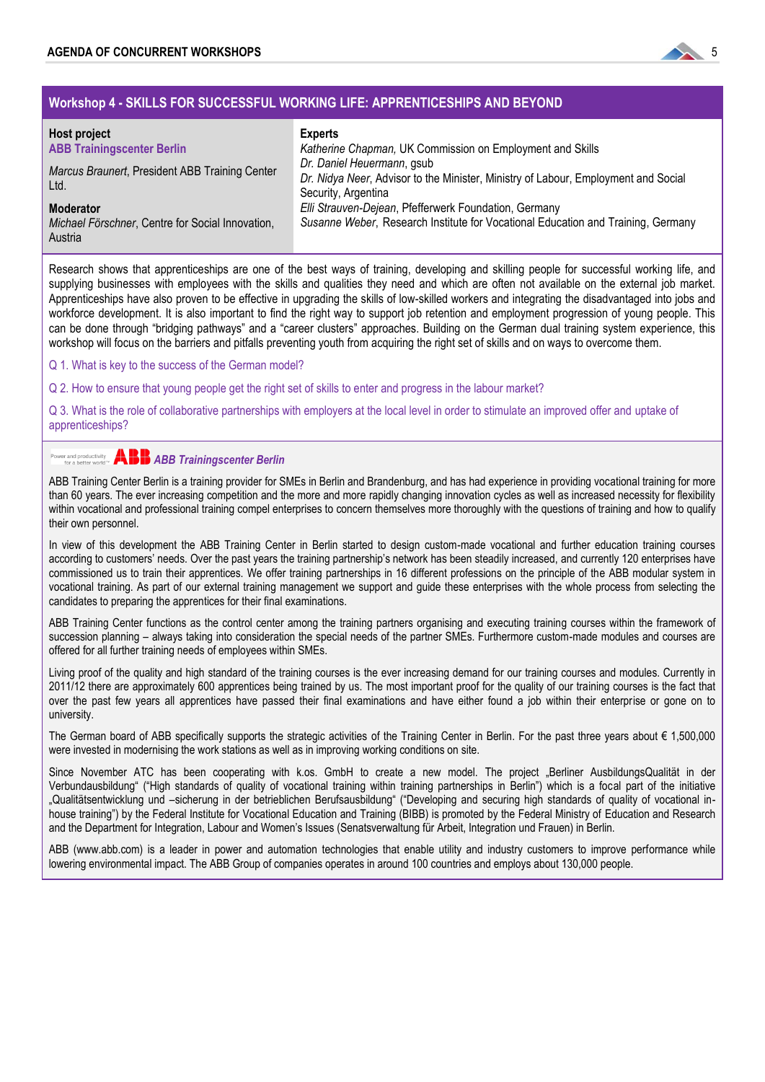

# **Workshop 4 - SKILLS FOR SUCCESSFUL WORKING LIFE: APPRENTICESHIPS AND BEYOND**

| Host project<br><b>ABB Trainingscenter Berlin</b><br>Marcus Braunert, President ABB Training Center<br>Ltd. | <b>Experts</b><br>Katherine Chapman, UK Commission on Employment and Skills<br>Dr. Daniel Heuermann, gsub<br>Dr. Nidya Neer, Advisor to the Minister, Ministry of Labour, Employment and Social<br>Security, Argentina |  |
|-------------------------------------------------------------------------------------------------------------|------------------------------------------------------------------------------------------------------------------------------------------------------------------------------------------------------------------------|--|
| <b>Moderator</b><br>Michael Förschner, Centre for Social Innovation,<br>Austria                             | Elli Strauven-Dejean, Pfefferwerk Foundation, Germany<br>Susanne Weber, Research Institute for Vocational Education and Training, Germany                                                                              |  |

Research shows that apprenticeships are one of the best ways of training, developing and skilling people for successful working life, and supplying businesses with employees with the skills and qualities they need and which are often not available on the external job market. Apprenticeships have also proven to be effective in upgrading the skills of low-skilled workers and integrating the disadvantaged into jobs and workforce development. It is also important to find the right way to support job retention and employment progression of young people. This can be done through "bridging pathways" and a "career clusters" approaches. Building on the German dual training system experience, this workshop will focus on the barriers and pitfalls preventing youth from acquiring the right set of skills and on ways to overcome them.

Q 1. What is key to the success of the German model?

Q 2. How to ensure that young people get the right set of skills to enter and progress in the labour market?

Q 3. What is the role of collaborative partnerships with employers at the local level in order to stimulate an improved offer and uptake of apprenticeships?

#### Power and productivity<br>for a better world<sup>76</sup> *ABB Trainingscenter Berlin*

ABB Training Center Berlin is a training provider for SMEs in Berlin and Brandenburg, and has had experience in providing vocational training for more than 60 years. The ever increasing competition and the more and more rapidly changing innovation cycles as well as increased necessity for flexibility within vocational and professional training compel enterprises to concern themselves more thoroughly with the questions of training and how to qualify their own personnel.

In view of this development the ABB Training Center in Berlin started to design custom-made vocational and further education training courses according to customers' needs. Over the past years the training partnership's network has been steadily increased, and currently 120 enterprises have commissioned us to train their apprentices. We offer training partnerships in 16 different professions on the principle of the ABB modular system in vocational training. As part of our external training management we support and guide these enterprises with the whole process from selecting the candidates to preparing the apprentices for their final examinations.

ABB Training Center functions as the control center among the training partners organising and executing training courses within the framework of succession planning – always taking into consideration the special needs of the partner SMEs. Furthermore custom-made modules and courses are offered for all further training needs of employees within SMEs.

Living proof of the quality and high standard of the training courses is the ever increasing demand for our training courses and modules. Currently in 2011/12 there are approximately 600 apprentices being trained by us. The most important proof for the quality of our training courses is the fact that over the past few years all apprentices have passed their final examinations and have either found a job within their enterprise or gone on to university.

The German board of ABB specifically supports the strategic activities of the Training Center in Berlin. For the past three years about € 1,500,000 were invested in modernising the work stations as well as in improving working conditions on site.

Since November ATC has been cooperating with k.os. GmbH to create a new model. The project "Berliner AusbildungsQualität in der Verbundausbildung" ("High standards of quality of vocational training within training partnerships in Berlin") which is a focal part of the initiative "Qualitätsentwicklung und –sicherung in der betrieblichen Berufsausbildung" ("Developing and securing high standards of quality of vocational inhouse training") by the Federal Institute for Vocational Education and Training (BIBB) is promoted by the Federal Ministry of Education and Research and the Department for Integration, Labour and Women's Issues (Senatsverwaltung für Arbeit, Integration und Frauen) in Berlin.

ABB (www.abb.com) is a leader in power and automation technologies that enable utility and industry customers to improve performance while lowering environmental impact. The ABB Group of companies operates in around 100 countries and employs about 130,000 people.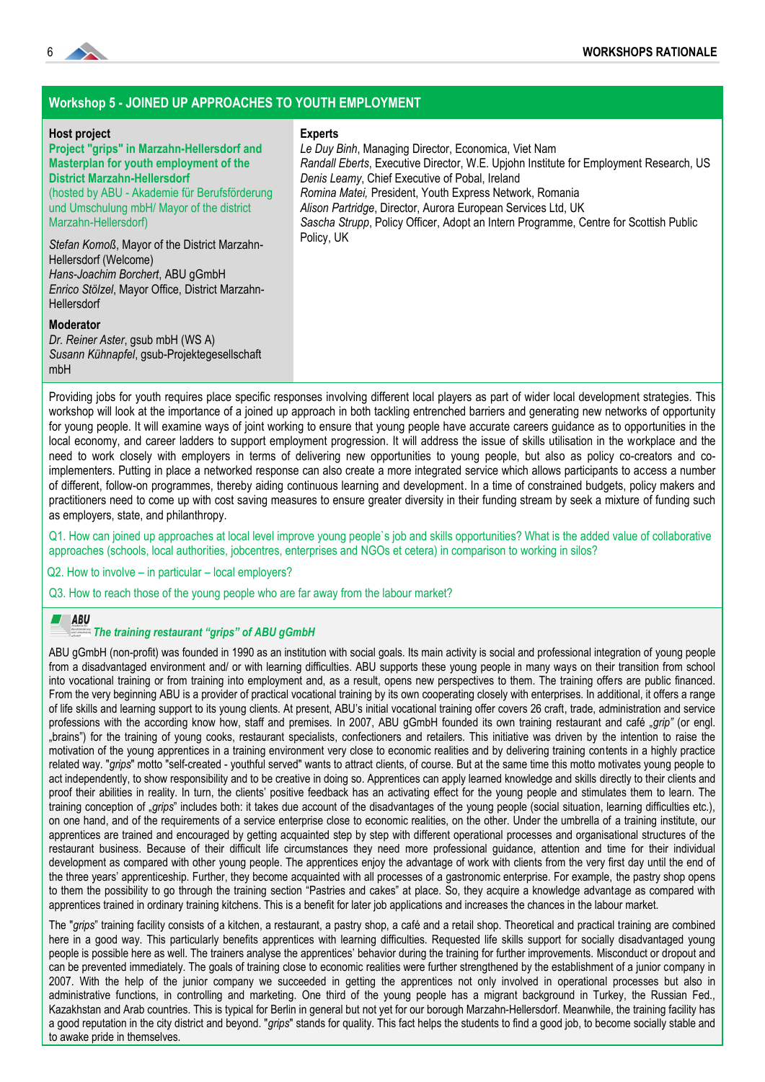

### **Workshop 5 - JOINED UP APPROACHES TO YOUTH EMPLOYMENT**

#### **Host project**

#### **Project "grips" in Marzahn-Hellersdorf and Masterplan for youth employment of the District Marzahn-Hellersdorf**  (hosted by ABU - Akademie für Berufsförderung und Umschulung mbH/ Mayor of the district Marzahn-Hellersdorf)

#### **Experts**

*Le Duy Binh*, Managing Director, Economica, Viet Nam *Randall Eberts*, Executive Director, W.E. Upjohn Institute for Employment Research, US *Denis Leamy*, Chief Executive of Pobal, Ireland *Romina Matei,* President, Youth Express Network, Romania *Alison Partridge*, Director, Aurora European Services Ltd, UK *Sascha Strupp*, Policy Officer, Adopt an Intern Programme, Centre for Scottish Public Policy, UK

*Stefan Komoß*, Mayor of the District Marzahn-Hellersdorf (Welcome) *Hans-Joachim Borchert*, ABU gGmbH *Enrico Stölzel*, Mayor Office, District Marzahn-**Hellersdorf** 

### **Moderator**

*Dr. Reiner Aster*, gsub mbH (WS A) *Susann Kühnapfel*, gsub-Projektegesellschaft mbH

Providing jobs for youth requires place specific responses involving different local players as part of wider local development strategies. This workshop will look at the importance of a joined up approach in both tackling entrenched barriers and generating new networks of opportunity for young people. It will examine ways of joint working to ensure that young people have accurate careers guidance as to opportunities in the local economy, and career ladders to support employment progression. It will address the issue of skills utilisation in the workplace and the need to work closely with employers in terms of delivering new opportunities to young people, but also as policy co-creators and coimplementers. Putting in place a networked response can also create a more integrated service which allows participants to access a number of different, follow-on programmes, thereby aiding continuous learning and development. In a time of constrained budgets, policy makers and practitioners need to come up with cost saving measures to ensure greater diversity in their funding stream by seek a mixture of funding such as employers, state, and philanthropy.

Q1. How can joined up approaches at local level improve young people`s job and skills opportunities? What is the added value of collaborative approaches (schools, local authorities, jobcentres, enterprises and NGOs et cetera) in comparison to working in silos?

Q2. How to involve – in particular – local employers?

Q3. How to reach those of the young people who are far away from the labour market?

#### ABU

#### *The training restaurant "grips" of ABU gGmbH*

ABU gGmbH (non-profit) was founded in 1990 as an institution with social goals. Its main activity is social and professional integration of young people from a disadvantaged environment and/ or with learning difficulties. ABU supports these young people in many ways on their transition from school into vocational training or from training into employment and, as a result, opens new perspectives to them. The training offers are public financed. From the very beginning ABU is a provider of practical vocational training by its own cooperating closely with enterprises. In additional, it offers a range of life skills and learning support to its young clients. At present, ABU's initial vocational training offer covers 26 craft, trade, administration and service professions with the according know how, staff and premises. In 2007, ABU gGmbH founded its own training restaurant and café "grip" (or engl. "brains") for the training of young cooks, restaurant specialists, confectioners and retailers. This initiative was driven by the intention to raise the motivation of the young apprentices in a training environment very close to economic realities and by delivering training contents in a highly practice related way. "*grips*" motto "self-created - youthful served" wants to attract clients, of course. But at the same time this motto motivates young people to act independently, to show responsibility and to be creative in doing so. Apprentices can apply learned knowledge and skills directly to their clients and proof their abilities in reality. In turn, the clients' positive feedback has an activating effect for the young people and stimulates them to learn. The training conception of "grips" includes both: it takes due account of the disadvantages of the young people (social situation, learning difficulties etc.), on one hand, and of the requirements of a service enterprise close to economic realities, on the other. Under the umbrella of a training institute, our apprentices are trained and encouraged by getting acquainted step by step with different operational processes and organisational structures of the restaurant business. Because of their difficult life circumstances they need more professional guidance, attention and time for their individual development as compared with other young people. The apprentices enjoy the advantage of work with clients from the very first day until the end of the three years' apprenticeship. Further, they become acquainted with all processes of a gastronomic enterprise. For example, the pastry shop opens to them the possibility to go through the training section "Pastries and cakes" at place. So, they acquire a knowledge advantage as compared with apprentices trained in ordinary training kitchens. This is a benefit for later job applications and increases the chances in the labour market.

The "grips" training facility consists of a kitchen, a restaurant, a pastry shop, a café and a retail shop. Theoretical and practical training are combined here in a good way. This particularly benefits apprentices with learning difficulties. Requested life skills support for socially disadvantaged young people is possible here as well. The trainers analyse the apprentices' behavior during the training for further improvements. Misconduct or dropout and can be prevented immediately. The goals of training close to economic realities were further strengthened by the establishment of a junior company in 2007. With the help of the junior company we succeeded in getting the apprentices not only involved in operational processes but also in administrative functions, in controlling and marketing. One third of the young people has a migrant background in Turkey, the Russian Fed., Kazakhstan and Arab countries. This is typical for Berlin in general but not yet for our borough Marzahn-Hellersdorf. Meanwhile, the training facility has a good reputation in the city district and beyond. "*grips*" stands for quality. This fact helps the students to find a good job, to become socially stable and to awake pride in themselves.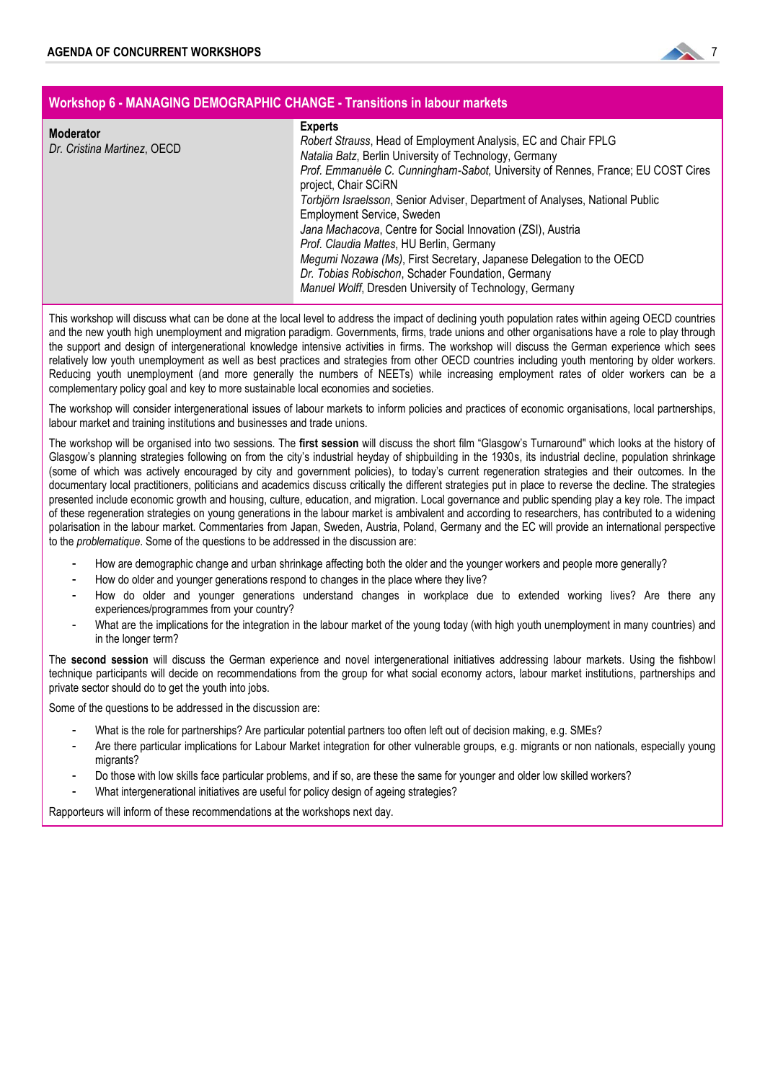

| Workshop 6 - MANAGING DEMOGRAPHIC CHANGE - Transitions in labour markets |                                                                                                                                                                                                                                                                                                                                                                                                                                                                                                                                                                                                                                                                                |  |
|--------------------------------------------------------------------------|--------------------------------------------------------------------------------------------------------------------------------------------------------------------------------------------------------------------------------------------------------------------------------------------------------------------------------------------------------------------------------------------------------------------------------------------------------------------------------------------------------------------------------------------------------------------------------------------------------------------------------------------------------------------------------|--|
| <b>Moderator</b><br>Dr. Cristina Martinez, OECD                          | <b>Experts</b><br>Robert Strauss, Head of Employment Analysis, EC and Chair FPLG<br>Natalia Batz, Berlin University of Technology, Germany<br>Prof. Emmanuèle C. Cunningham-Sabot, University of Rennes, France; EU COST Cires<br>project, Chair SCiRN<br>Torbjörn Israelsson, Senior Adviser, Department of Analyses, National Public<br><b>Employment Service, Sweden</b><br>Jana Machacova, Centre for Social Innovation (ZSI), Austria<br>Prof. Claudia Mattes, HU Berlin, Germany<br>Megumi Nozawa (Ms), First Secretary, Japanese Delegation to the OECD<br>Dr. Tobias Robischon, Schader Foundation, Germany<br>Manuel Wolff, Dresden University of Technology, Germany |  |

This workshop will discuss what can be done at the local level to address the impact of declining youth population rates within ageing OECD countries and the new youth high unemployment and migration paradigm. Governments, firms, trade unions and other organisations have a role to play through the support and design of intergenerational knowledge intensive activities in firms. The workshop will discuss the German experience which sees relatively low youth unemployment as well as best practices and strategies from other OECD countries including youth mentoring by older workers. Reducing youth unemployment (and more generally the numbers of NEETs) while increasing employment rates of older workers can be a complementary policy goal and key to more sustainable local economies and societies.

The workshop will consider intergenerational issues of labour markets to inform policies and practices of economic organisations, local partnerships, labour market and training institutions and businesses and trade unions.

The workshop will be organised into two sessions. The first session will discuss the short film "Glasgow's Turnaround" which looks at the history of Glasgow's planning strategies following on from the city's industrial heyday of shipbuilding in the 1930s, its industrial decline, population shrinkage (some of which was actively encouraged by city and government policies), to today's current regeneration strategies and their outcomes. In the documentary local practitioners, politicians and academics discuss critically the different strategies put in place to reverse the decline. The strategies presented include economic growth and housing, culture, education, and migration. Local governance and public spending play a key role. The impact of these regeneration strategies on young generations in the labour market is ambivalent and according to researchers, has contributed to a widening polarisation in the labour market. Commentaries from Japan, Sweden, Austria, Poland, Germany and the EC will provide an international perspective to the *problematique*. Some of the questions to be addressed in the discussion are:

- How are demographic change and urban shrinkage affecting both the older and the younger workers and people more generally?
- How do older and younger generations respond to changes in the place where they live?
- How do older and younger generations understand changes in workplace due to extended working lives? Are there any experiences/programmes from your country?
- What are the implications for the integration in the labour market of the young today (with high youth unemployment in many countries) and in the longer term?

The **second session** will discuss the German experience and novel intergenerational initiatives addressing labour markets. Using the fishbowl technique participants will decide on recommendations from the group for what social economy actors, labour market institutions, partnerships and private sector should do to get the youth into jobs.

Some of the questions to be addressed in the discussion are:

- What is the role for partnerships? Are particular potential partners too often left out of decision making, e.g. SMEs?
- Are there particular implications for Labour Market integration for other vulnerable groups, e.g. migrants or non nationals, especially young migrants?
- Do those with low skills face particular problems, and if so, are these the same for younger and older low skilled workers?
- What intergenerational initiatives are useful for policy design of ageing strategies?

Rapporteurs will inform of these recommendations at the workshops next day.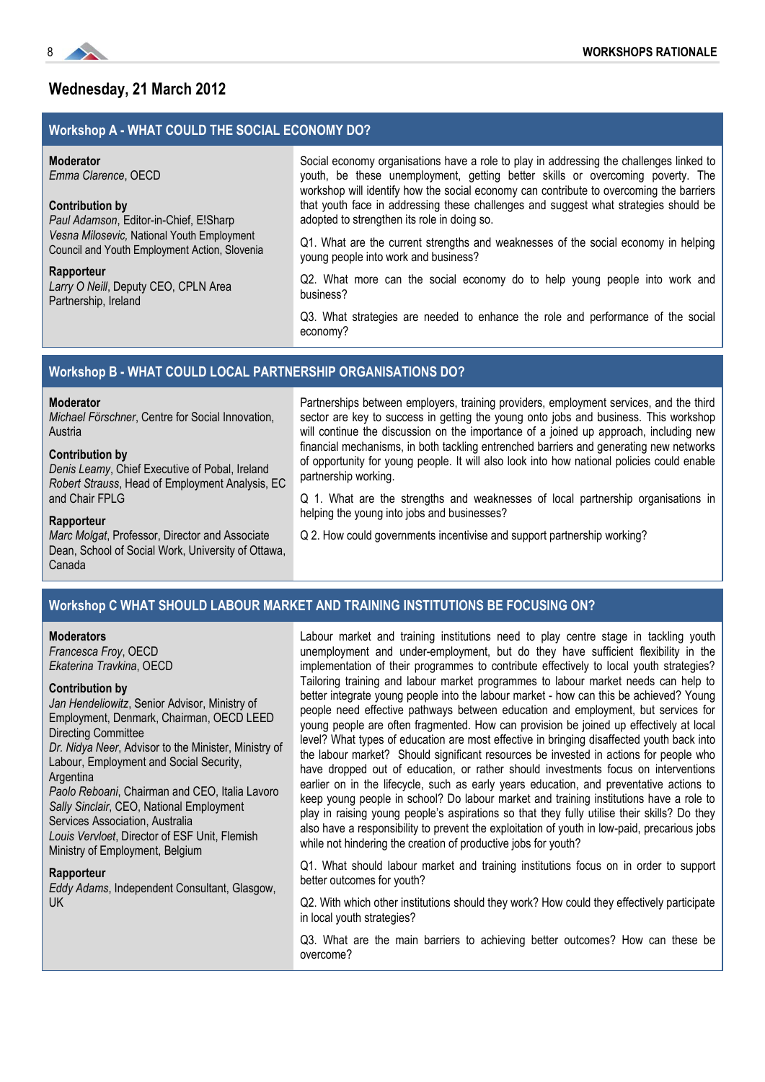

# **Wednesday, 21 March 2012**

### **Workshop A - WHAT COULD THE SOCIAL ECONOMY DO?**

#### **Moderator**

*Emma Clarence*, OECD

#### **Contribution by**

*Paul Adamson*, Editor-in-Chief, E!Sharp *Vesna Milosevic,* National Youth Employment Council and Youth Employment Action, Slovenia

#### **Rapporteur**

*Larry O Neill*, Deputy CEO, CPLN Area Partnership, Ireland

Social economy organisations have a role to play in addressing the challenges linked to youth, be these unemployment, getting better skills or overcoming poverty. The workshop will identify how the social economy can contribute to overcoming the barriers that youth face in addressing these challenges and suggest what strategies should be adopted to strengthen its role in doing so.

Q1. What are the current strengths and weaknesses of the social economy in helping young people into work and business?

Q2. What more can the social economy do to help young people into work and business?

Q3. What strategies are needed to enhance the role and performance of the social economy?

#### **Workshop B - WHAT COULD LOCAL PARTNERSHIP ORGANISATIONS DO?**

### **Moderator**

*Michael Förschner*, Centre for Social Innovation, Austria

#### **Contribution by**

*Denis Leamy*, Chief Executive of Pobal, Ireland *Robert Strauss*, Head of Employment Analysis, EC and Chair FPLG

Partnerships between employers, training providers, employment services, and the third sector are key to success in getting the young onto jobs and business. This workshop will continue the discussion on the importance of a joined up approach, including new financial mechanisms, in both tackling entrenched barriers and generating new networks of opportunity for young people. It will also look into how national policies could enable partnership working.

Q 1. What are the strengths and weaknesses of local partnership organisations in helping the young into jobs and businesses?

#### **Rapporteur**

*Marc Molgat*, Professor, Director and Associate Dean, School of Social Work, University of Ottawa, Canada

Q 2. How could governments incentivise and support partnership working?

#### **Workshop C WHAT SHOULD LABOUR MARKET AND TRAINING INSTITUTIONS BE FOCUSING ON?**

#### **Moderators**

*Francesca Froy*, OECD *Ekaterina Travkina*, OECD

#### **Contribution by**

UK

*Jan Hendeliowitz*, Senior Advisor, Ministry of Employment, Denmark, Chairman, OECD LEED Directing Committee *Dr. Nidya Neer*, Advisor to the Minister, Ministry of Labour, Employment and Social Security, Argentina *Paolo Reboani*, Chairman and CEO, Italia Lavoro *Sally Sinclair*, CEO, National Employment Services Association, Australia *Louis Vervloet*, Director of ESF Unit, Flemish Ministry of Employment, Belgium **Rapporteur** *Eddy Adams*, Independent Consultant, Glasgow,

Labour market and training institutions need to play centre stage in tackling youth unemployment and under-employment, but do they have sufficient flexibility in the implementation of their programmes to contribute effectively to local youth strategies? Tailoring training and labour market programmes to labour market needs can help to better integrate young people into the labour market - how can this be achieved? Young people need effective pathways between education and employment, but services for young people are often fragmented. How can provision be joined up effectively at local level? What types of education are most effective in bringing disaffected youth back into the labour market? Should significant resources be invested in actions for people who have dropped out of education, or rather should investments focus on interventions earlier on in the lifecycle, such as early years education, and preventative actions to keep young people in school? Do labour market and training institutions have a role to play in raising young people's aspirations so that they fully utilise their skills? Do they also have a responsibility to prevent the exploitation of youth in low-paid, precarious jobs while not hindering the creation of productive jobs for youth?

Q1. What should labour market and training institutions focus on in order to support better outcomes for youth?

Q2. With which other institutions should they work? How could they effectively participate in local youth strategies?

Q3. What are the main barriers to achieving better outcomes? How can these be overcome?